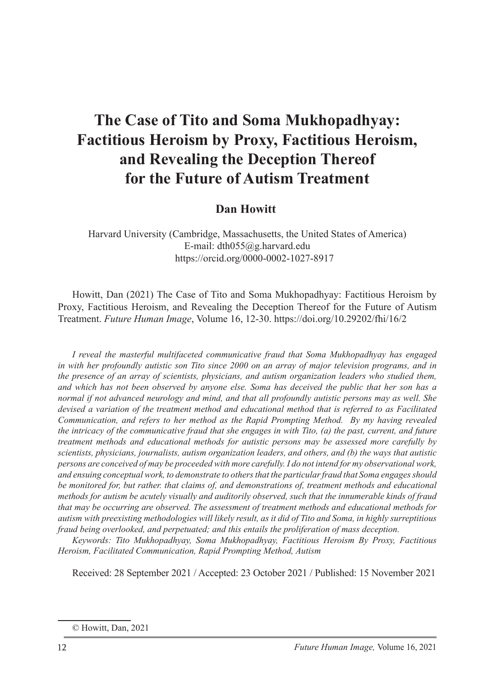## **Dan Howitt**

Harvard University (Cambridge, Massachusetts, the United States of America) E-mail: dth055@g.harvard.edu https://orcid.org/0000-0002-1027-8917

Howitt, Dan (2021) The Case of Tito and Soma Mukhopadhyay: Factitious Heroism by Proxy, Factitious Heroism, and Revealing the Deception Thereof for the Future of Autism Treatment. *Future Human Image*, Volume 16, 12-30. https://doi.org/10.29202/fhi/16/2

*I reveal the masterful multifaceted communicative fraud that Soma Mukhopadhyay has engaged in with her profoundly autistic son Tito since 2000 on an array of major television programs, and in the presence of an array of scientists, physicians, and autism organization leaders who studied them, and which has not been observed by anyone else. Soma has deceived the public that her son has a normal if not advanced neurology and mind, and that all profoundly autistic persons may as well. She devised a variation of the treatment method and educational method that is referred to as Facilitated Communication, and refers to her method as the Rapid Prompting Method. By my having revealed the intricacy of the communicative fraud that she engages in with Tito, (a) the past, current, and future treatment methods and educational methods for autistic persons may be assessed more carefully by scientists, physicians, journalists, autism organization leaders, and others, and (b) the ways that autistic persons are conceived of may be proceeded with more carefully. I do not intend for my observational work, and ensuing conceptual work, to demonstrate to others that the particular fraud that Soma engages should be monitored for, but rather. that claims of, and demonstrations of, treatment methods and educational methods for autism be acutely visually and auditorily observed, such that the innumerable kinds of fraud that may be occurring are observed. The assessment of treatment methods and educational methods for autism with preexisting methodologies will likely result, as it did of Tito and Soma, in highly surreptitious fraud being overlooked, and perpetuated; and this entails the proliferation of mass deception.*

*Keywords: Tito Mukhopadhyay, Soma Mukhopadhyay, Factitious Heroism By Proxy, Factitious Heroism, Facilitated Communication, Rapid Prompting Method, Autism*

Received: 28 September 2021 / Accepted: 23 October 2021 / Published: 15 November 2021

<sup>©</sup> Howitt, Dan, 2021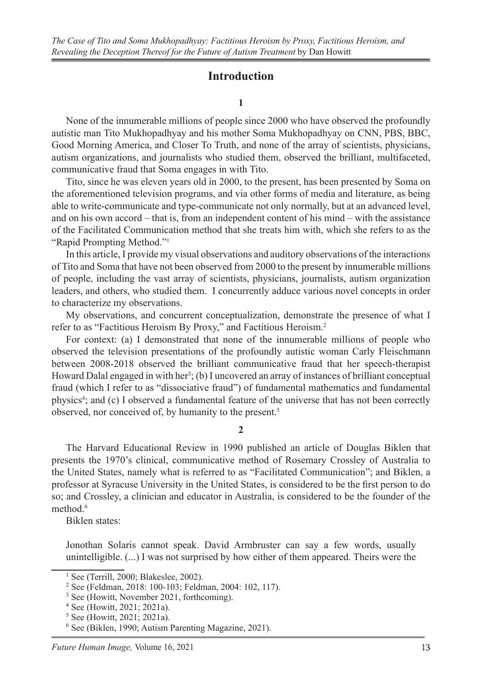#### **Introduction**

#### **1**

None of the innumerable millions of people since 2000 who have observed the profoundly autistic man Tito Mukhopadhyay and his mother Soma Mukhopadhyay on CNN, PBS, BBC, Good Morning America, and Closer To Truth, and none of the array of scientists, physicians, autism organizations, and journalists who studied them, observed the brilliant, multifaceted, communicative fraud that Soma engages in with Tito.

Tito, since he was eleven years old in 2000, to the present, has been presented by Soma on the aforementioned television programs, and via other forms of media and literature, as being able to write-communicate and type-communicate not only normally, but at an advanced level, and on his own accord – that is, from an independent content of his mind – with the assistance of the Facilitated Communication method that she treats him with, which she refers to as the "Rapid Prompting Method."1

In this article, I provide my visual observations and auditory observations of the interactions of Tito and Soma that have not been observed from 2000 to the present by innumerable millions of people, including the vast array of scientists, physicians, journalists, autism organization leaders, and others, who studied them. I concurrently adduce various novel concepts in order to characterize my observations.

My observations, and concurrent conceptualization, demonstrate the presence of what I refer to as "Factitious Heroism By Proxy," and Factitious Heroism.2

For context: (a) I demonstrated that none of the innumerable millions of people who observed the television presentations of the profoundly autistic woman Carly Fleischmann between 2008-2018 observed the brilliant communicative fraud that her speech-therapist Howard Dalal engaged in with her<sup>3</sup>; (b) I uncovered an array of instances of brilliant conceptual fraud (which I refer to as "dissociative fraud") of fundamental mathematics and fundamental physics<sup>4</sup>; and (c) I observed a fundamental feature of the universe that has not been correctly observed, nor conceived of, by humanity to the present.<sup>5</sup>

#### **2**

The Harvard Educational Review in 1990 published an article of Douglas Biklen that presents the 1970's clinical, communicative method of Rosemary Crossley of Australia to the United States, namely what is referred to as "Facilitated Communication"; and Biklen, a professor at Syracuse University in the United States, is considered to be the first person to do so; and Crossley, a clinician and educator in Australia, is considered to be the founder of the method.<sup>6</sup>

Biklen states:

Jonothan Solaris cannot speak. David Armbruster can say a few words, usually unintelligible. (...) I was not surprised by how either of them appeared. Theirs were the

<sup>1</sup> See (Terrill, 2000; Blakeslee, 2002).

<sup>2</sup> See (Feldman, 2018: 100-103; Feldman, 2004: 102, 117).

<sup>&</sup>lt;sup>3</sup> See (Howitt, November 2021, forthcoming).

<sup>4</sup> See (Howitt, 2021; 2021a).

<sup>5</sup> See (Howitt, 2021; 2021a).

<sup>6</sup> See (Biklen, 1990; Autism Parenting Magazine, 2021).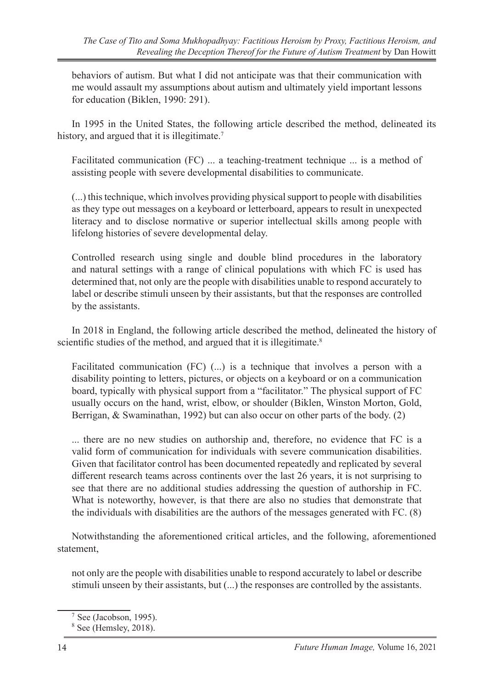behaviors of autism. But what I did not anticipate was that their communication with me would assault my assumptions about autism and ultimately yield important lessons for education (Biklen, 1990: 291).

In 1995 in the United States, the following article described the method, delineated its history, and argued that it is illegitimate.<sup>7</sup>

Facilitated communication (FC) ... a teaching-treatment technique ... is a method of assisting people with severe developmental disabilities to communicate.

(...) this technique, which involves providing physical support to people with disabilities as they type out messages on a keyboard or letterboard, appears to result in unexpected literacy and to disclose normative or superior intellectual skills among people with lifelong histories of severe developmental delay.

Controlled research using single and double blind procedures in the laboratory and natural settings with a range of clinical populations with which FC is used has determined that, not only are the people with disabilities unable to respond accurately to label or describe stimuli unseen by their assistants, but that the responses are controlled by the assistants.

In 2018 in England, the following article described the method, delineated the history of scientific studies of the method, and argued that it is illegitimate.<sup>8</sup>

Facilitated communication  $(FC)$  (...) is a technique that involves a person with a disability pointing to letters, pictures, or objects on a keyboard or on a communication board, typically with physical support from a "facilitator." The physical support of FC usually occurs on the hand, wrist, elbow, or shoulder (Biklen, Winston Morton, Gold, Berrigan, & Swaminathan, 1992) but can also occur on other parts of the body. (2)

... there are no new studies on authorship and, therefore, no evidence that FC is a valid form of communication for individuals with severe communication disabilities. Given that facilitator control has been documented repeatedly and replicated by several different research teams across continents over the last 26 years, it is not surprising to see that there are no additional studies addressing the question of authorship in FC. What is noteworthy, however, is that there are also no studies that demonstrate that the individuals with disabilities are the authors of the messages generated with FC. (8)

Notwithstanding the aforementioned critical articles, and the following, aforementioned statement,

not only are the people with disabilities unable to respond accurately to label or describe stimuli unseen by their assistants, but (...) the responses are controlled by the assistants.

 $7$  See (Jacobson, 1995).

<sup>8</sup> See (Hemsley, 2018).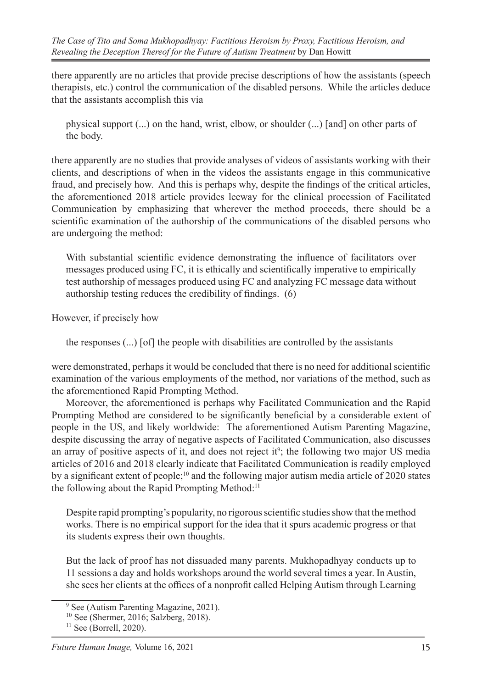there apparently are no articles that provide precise descriptions of how the assistants (speech therapists, etc.) control the communication of the disabled persons. While the articles deduce that the assistants accomplish this via

physical support (...) on the hand, wrist, elbow, or shoulder (...) [and] on other parts of the body.

there apparently are no studies that provide analyses of videos of assistants working with their clients, and descriptions of when in the videos the assistants engage in this communicative fraud, and precisely how. And this is perhaps why, despite the findings of the critical articles, the aforementioned 2018 article provides leeway for the clinical procession of Facilitated Communication by emphasizing that wherever the method proceeds, there should be a scientific examination of the authorship of the communications of the disabled persons who are undergoing the method:

With substantial scientific evidence demonstrating the influence of facilitators over messages produced using FC, it is ethically and scientifically imperative to empirically test authorship of messages produced using FC and analyzing FC message data without authorship testing reduces the credibility of findings. (6)

However, if precisely how

the responses (...) [of] the people with disabilities are controlled by the assistants

were demonstrated, perhaps it would be concluded that there is no need for additional scientific examination of the various employments of the method, nor variations of the method, such as the aforementioned Rapid Prompting Method.

Moreover, the aforementioned is perhaps why Facilitated Communication and the Rapid Prompting Method are considered to be significantly beneficial by a considerable extent of people in the US, and likely worldwide: The aforementioned Autism Parenting Magazine, despite discussing the array of negative aspects of Facilitated Communication, also discusses an array of positive aspects of it, and does not reject it<sup>9</sup>; the following two major US media articles of 2016 and 2018 clearly indicate that Facilitated Communication is readily employed by a significant extent of people;<sup>10</sup> and the following major autism media article of 2020 states the following about the Rapid Prompting Method:<sup>11</sup>

Despite rapid prompting's popularity, no rigorous scientific studies show that the method works. There is no empirical support for the idea that it spurs academic progress or that its students express their own thoughts.

But the lack of proof has not dissuaded many parents. Mukhopadhyay conducts up to 11 sessions a day and holds workshops around the world several times a year. In Austin, she sees her clients at the offices of a nonprofit called Helping Autism through Learning

<sup>&</sup>lt;sup>9</sup> See (Autism Parenting Magazine, 2021).

<sup>10</sup> See (Shermer, 2016; Salzberg, 2018).

 $11$  See (Borrell, 2020).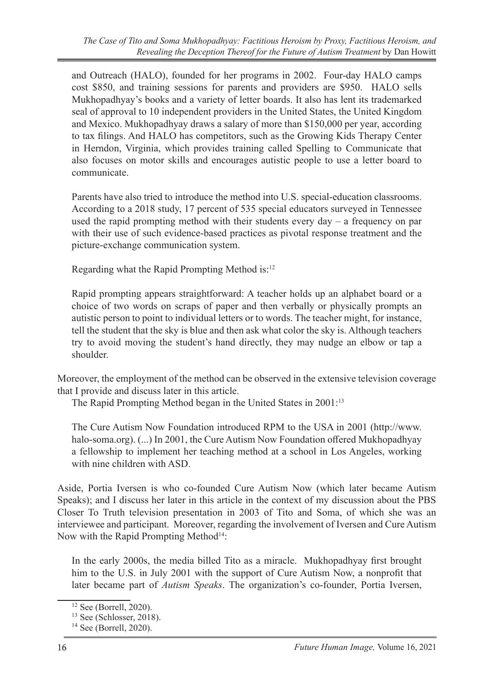and Outreach (HALO), founded for her programs in 2002. Four-day HALO camps cost \$850, and training sessions for parents and providers are \$950. HALO sells Mukhopadhyay's books and a variety of letter boards. It also has lent its trademarked seal of approval to 10 independent providers in the United States, the United Kingdom and Mexico. Mukhopadhyay draws a salary of more than \$150,000 per year, according to tax filings. And HALO has competitors, such as the Growing Kids Therapy Center in Herndon, Virginia, which provides training called Spelling to Communicate that also focuses on motor skills and encourages autistic people to use a letter board to communicate.

Parents have also tried to introduce the method into U.S. special-education classrooms. According to a 2018 study, 17 percent of 535 special educators surveyed in Tennessee used the rapid prompting method with their students every day  $-$  a frequency on par with their use of such evidence-based practices as pivotal response treatment and the picture-exchange communication system.

Regarding what the Rapid Prompting Method is:12

Rapid prompting appears straightforward: A teacher holds up an alphabet board or a choice of two words on scraps of paper and then verbally or physically prompts an autistic person to point to individual letters or to words. The teacher might, for instance, tell the student that the sky is blue and then ask what color the sky is. Although teachers try to avoid moving the student's hand directly, they may nudge an elbow or tap a shoulder.

Moreover, the employment of the method can be observed in the extensive television coverage that I provide and discuss later in this article.

The Rapid Prompting Method began in the United States in 2001:13

The Cure Autism Now Foundation introduced RPM to the USA in 2001 (http://www. halo-soma.org). (...) In 2001, the Cure Autism Now Foundation offered Mukhopadhyay a fellowship to implement her teaching method at a school in Los Angeles, working with nine children with ASD.

Aside, Portia Iversen is who co-founded Cure Autism Now (which later became Autism Speaks); and I discuss her later in this article in the context of my discussion about the PBS Closer To Truth television presentation in 2003 of Tito and Soma, of which she was an interviewee and participant. Moreover, regarding the involvement of Iversen and Cure Autism Now with the Rapid Prompting Method<sup>14</sup>:

In the early 2000s, the media billed Tito as a miracle. Mukhopadhyay first brought him to the U.S. in July 2001 with the support of Cure Autism Now, a nonprofit that later became part of *Autism Speaks*. The organization's co-founder, Portia Iversen,

<sup>12</sup> See (Borrell, 2020).

 $13$  See (Schlosser, 2018).

<sup>14</sup> See (Borrell, 2020).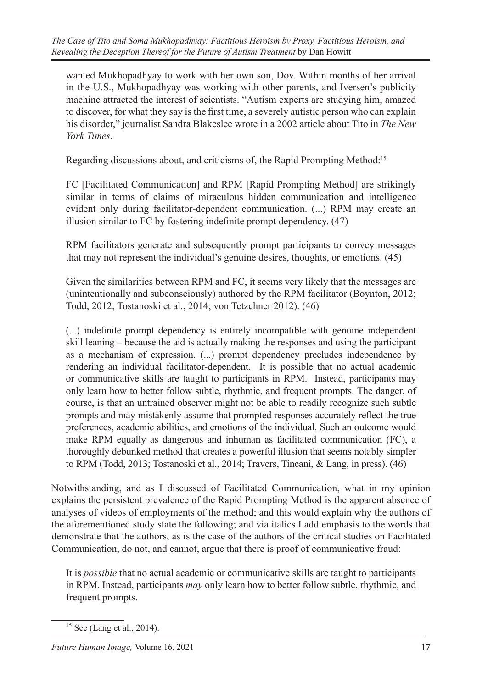wanted Mukhopadhyay to work with her own son, Dov. Within months of her arrival in the U.S., Mukhopadhyay was working with other parents, and Iversen's publicity machine attracted the interest of scientists. "Autism experts are studying him, amazed to discover, for what they say is the first time, a severely autistic person who can explain his disorder," journalist Sandra Blakeslee wrote in a 2002 article about Tito in *The New York Times*.

Regarding discussions about, and criticisms of, the Rapid Prompting Method:15

FC [Facilitated Communication] and RPM [Rapid Prompting Method] are strikingly similar in terms of claims of miraculous hidden communication and intelligence evident only during facilitator-dependent communication. (...) RPM may create an illusion similar to FC by fostering indefinite prompt dependency. (47)

RPM facilitators generate and subsequently prompt participants to convey messages that may not represent the individual's genuine desires, thoughts, or emotions. (45)

Given the similarities between RPM and FC, it seems very likely that the messages are (unintentionally and subconsciously) authored by the RPM facilitator (Boynton, 2012; Todd, 2012; Tostanoski et al., 2014; von Tetzchner 2012). (46)

(...) indefinite prompt dependency is entirely incompatible with genuine independent skill leaning – because the aid is actually making the responses and using the participant as a mechanism of expression. (...) prompt dependency precludes independence by rendering an individual facilitator-dependent. It is possible that no actual academic or communicative skills are taught to participants in RPM. Instead, participants may only learn how to better follow subtle, rhythmic, and frequent prompts. The danger, of course, is that an untrained observer might not be able to readily recognize such subtle prompts and may mistakenly assume that prompted responses accurately reflect the true preferences, academic abilities, and emotions of the individual. Such an outcome would make RPM equally as dangerous and inhuman as facilitated communication (FC), a thoroughly debunked method that creates a powerful illusion that seems notably simpler to RPM (Todd, 2013; Tostanoski et al., 2014; Travers, Tincani, & Lang, in press). (46)

Notwithstanding, and as I discussed of Facilitated Communication, what in my opinion explains the persistent prevalence of the Rapid Prompting Method is the apparent absence of analyses of videos of employments of the method; and this would explain why the authors of the aforementioned study state the following; and via italics I add emphasis to the words that demonstrate that the authors, as is the case of the authors of the critical studies on Facilitated Communication, do not, and cannot, argue that there is proof of communicative fraud:

It is *possible* that no actual academic or communicative skills are taught to participants in RPM. Instead, participants *may* only learn how to better follow subtle, rhythmic, and frequent prompts.

<sup>15</sup> See (Lang et al., 2014).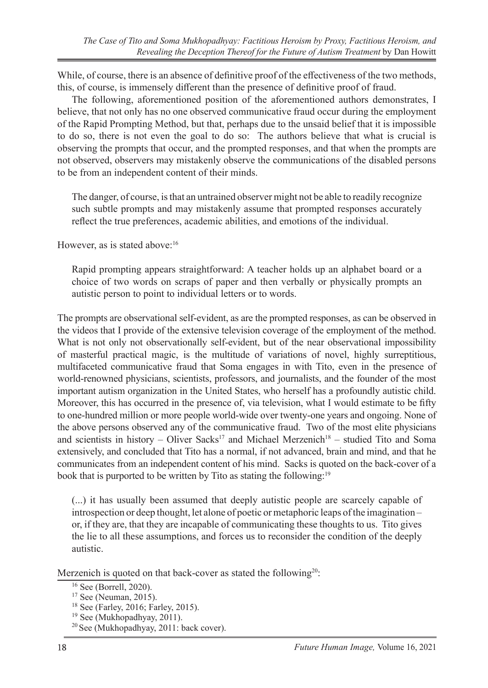While, of course, there is an absence of definitive proof of the effectiveness of the two methods, this, of course, is immensely different than the presence of definitive proof of fraud.

The following, aforementioned position of the aforementioned authors demonstrates, I believe, that not only has no one observed communicative fraud occur during the employment of the Rapid Prompting Method, but that, perhaps due to the unsaid belief that it is impossible to do so, there is not even the goal to do so: The authors believe that what is crucial is observing the prompts that occur, and the prompted responses, and that when the prompts are not observed, observers may mistakenly observe the communications of the disabled persons to be from an independent content of their minds.

The danger, of course, is that an untrained observer might not be able to readily recognize such subtle prompts and may mistakenly assume that prompted responses accurately reflect the true preferences, academic abilities, and emotions of the individual.

However, as is stated above:<sup>16</sup>

Rapid prompting appears straightforward: A teacher holds up an alphabet board or a choice of two words on scraps of paper and then verbally or physically prompts an autistic person to point to individual letters or to words.

The prompts are observational self-evident, as are the prompted responses, as can be observed in the videos that I provide of the extensive television coverage of the employment of the method. What is not only not observationally self-evident, but of the near observational impossibility of masterful practical magic, is the multitude of variations of novel, highly surreptitious, multifaceted communicative fraud that Soma engages in with Tito, even in the presence of world-renowned physicians, scientists, professors, and journalists, and the founder of the most important autism organization in the United States, who herself has a profoundly autistic child. Moreover, this has occurred in the presence of, via television, what I would estimate to be fifty to one-hundred million or more people world-wide over twenty-one years and ongoing. None of the above persons observed any of the communicative fraud. Two of the most elite physicians and scientists in history – Oliver Sacks<sup>17</sup> and Michael Merzenich<sup>18</sup> – studied Tito and Soma extensively, and concluded that Tito has a normal, if not advanced, brain and mind, and that he communicates from an independent content of his mind. Sacks is quoted on the back-cover of a book that is purported to be written by Tito as stating the following:<sup>19</sup>

(...) it has usually been assumed that deeply autistic people are scarcely capable of introspection or deep thought, let alone of poetic or metaphoric leaps of the imagination – or, if they are, that they are incapable of communicating these thoughts to us. Tito gives the lie to all these assumptions, and forces us to reconsider the condition of the deeply autistic.

Merzenich is quoted on that back-cover as stated the following<sup>20</sup>:

- 17 See (Neuman, 2015).
- 18 See (Farley, 2016; Farley, 2015).
- 19 See (Mukhopadhyay, 2011).
- <sup>20</sup> See (Mukhopadhyay, 2011: back cover).

<sup>16</sup> See (Borrell, 2020).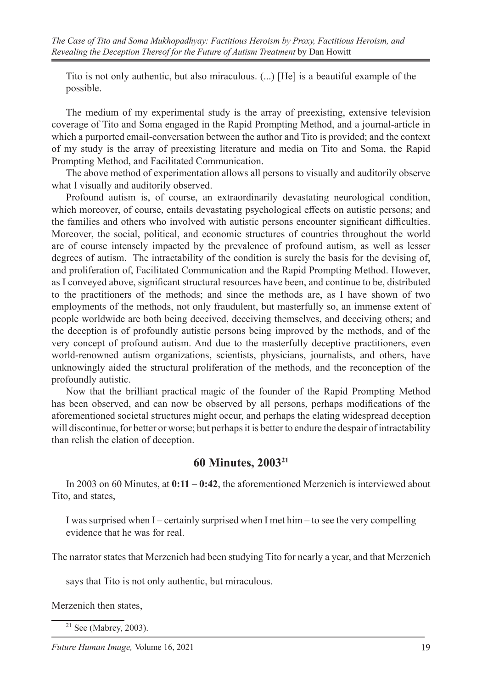Tito is not only authentic, but also miraculous. (...) [He] is a beautiful example of the possible.

The medium of my experimental study is the array of preexisting, extensive television coverage of Tito and Soma engaged in the Rapid Prompting Method, and a journal-article in which a purported email-conversation between the author and Tito is provided; and the context of my study is the array of preexisting literature and media on Tito and Soma, the Rapid Prompting Method, and Facilitated Communication.

The above method of experimentation allows all persons to visually and auditorily observe what I visually and auditorily observed.

Profound autism is, of course, an extraordinarily devastating neurological condition, which moreover, of course, entails devastating psychological effects on autistic persons; and the families and others who involved with autistic persons encounter significant difficulties. Moreover, the social, political, and economic structures of countries throughout the world are of course intensely impacted by the prevalence of profound autism, as well as lesser degrees of autism. The intractability of the condition is surely the basis for the devising of, and proliferation of, Facilitated Communication and the Rapid Prompting Method. However, as I conveyed above, significant structural resources have been, and continue to be, distributed to the practitioners of the methods; and since the methods are, as I have shown of two employments of the methods, not only fraudulent, but masterfully so, an immense extent of people worldwide are both being deceived, deceiving themselves, and deceiving others; and the deception is of profoundly autistic persons being improved by the methods, and of the very concept of profound autism. And due to the masterfully deceptive practitioners, even world-renowned autism organizations, scientists, physicians, journalists, and others, have unknowingly aided the structural proliferation of the methods, and the reconception of the profoundly autistic.

Now that the brilliant practical magic of the founder of the Rapid Prompting Method has been observed, and can now be observed by all persons, perhaps modifications of the aforementioned societal structures might occur, and perhaps the elating widespread deception will discontinue, for better or worse; but perhaps it is better to endure the despair of intractability than relish the elation of deception.

### **60 Minutes, 200321**

In 2003 on 60 Minutes, at **0:11 – 0:42**, the aforementioned Merzenich is interviewed about Tito, and states,

I was surprised when I – certainly surprised when I met him – to see the very compelling evidence that he was for real.

The narrator states that Merzenich had been studying Tito for nearly a year, and that Merzenich

says that Tito is not only authentic, but miraculous.

Merzenich then states,

 $21$  See (Mabrey, 2003).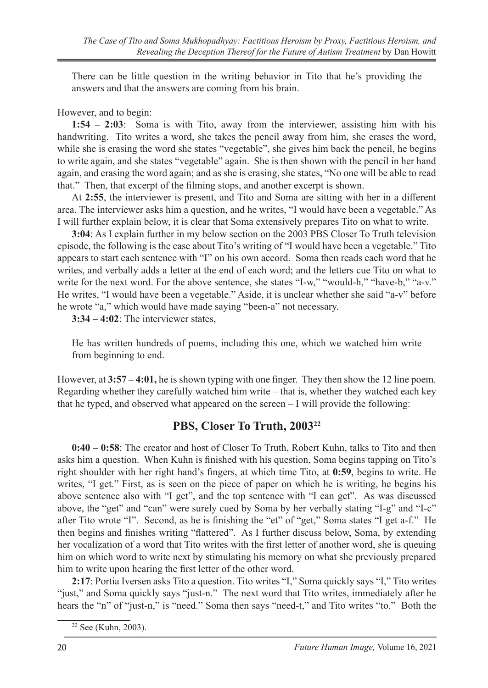There can be little question in the writing behavior in Tito that he's providing the answers and that the answers are coming from his brain.

#### However, and to begin:

**1:54 – 2:03**: Soma is with Tito, away from the interviewer, assisting him with his handwriting. Tito writes a word, she takes the pencil away from him, she erases the word, while she is erasing the word she states "vegetable", she gives him back the pencil, he begins to write again, and she states "vegetable" again. She is then shown with the pencil in her hand again, and erasing the word again; and as she is erasing, she states, "No one will be able to read that." Then, that excerpt of the filming stops, and another excerpt is shown.

At **2:55**, the interviewer is present, and Tito and Soma are sitting with her in a different area. The interviewer asks him a question, and he writes, "I would have been a vegetable." As I will further explain below, it is clear that Soma extensively prepares Tito on what to write.

**3:04**: As I explain further in my below section on the 2003 PBS Closer To Truth television episode, the following is the case about Tito's writing of "I would have been a vegetable." Tito appears to start each sentence with "I" on his own accord. Soma then reads each word that he writes, and verbally adds a letter at the end of each word; and the letters cue Tito on what to write for the next word. For the above sentence, she states "I-w," "would-h," "have-b," "a-v." He writes, "I would have been a vegetable." Aside, it is unclear whether she said "a-v" before he wrote "a," which would have made saying "been-a" not necessary.

**3:34 – 4:02**: The interviewer states,

He has written hundreds of poems, including this one, which we watched him write from beginning to end.

However, at **3:57 – 4:01,** he is shown typing with one finger. They then show the 12 line poem. Regarding whether they carefully watched him write – that is, whether they watched each key that he typed, and observed what appeared on the screen – I will provide the following:

# **PBS, Closer To Truth, 200322**

**0:40 – 0:58**: The creator and host of Closer To Truth, Robert Kuhn, talks to Tito and then asks him a question. When Kuhn is finished with his question, Soma begins tapping on Tito's right shoulder with her right hand's fingers, at which time Tito, at **0:59**, begins to write. He writes, "I get." First, as is seen on the piece of paper on which he is writing, he begins his above sentence also with "I get", and the top sentence with "I can get". As was discussed above, the "get" and "can" were surely cued by Soma by her verbally stating "I-g" and "I-c" after Tito wrote "I". Second, as he is finishing the "et" of "get," Soma states "I get a-f." He then begins and finishes writing "flattered". As I further discuss below, Soma, by extending her vocalization of a word that Tito writes with the first letter of another word, she is queuing him on which word to write next by stimulating his memory on what she previously prepared him to write upon hearing the first letter of the other word.

**2:17**: Portia Iversen asks Tito a question. Tito writes "I," Soma quickly says "I," Tito writes "just," and Soma quickly says "just-n." The next word that Tito writes, immediately after he hears the "n" of "just-n," is "need." Soma then says "need-t," and Tito writes "to." Both the

<sup>22</sup> See (Kuhn, 2003).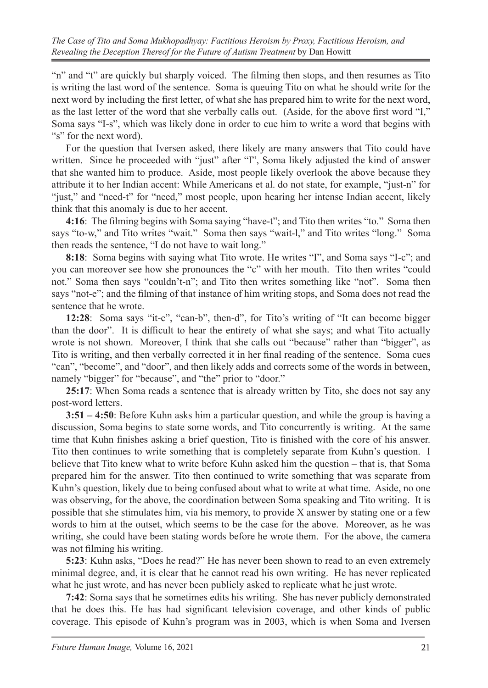"n" and "t" are quickly but sharply voiced. The filming then stops, and then resumes as Tito is writing the last word of the sentence. Soma is queuing Tito on what he should write for the next word by including the first letter, of what she has prepared him to write for the next word, as the last letter of the word that she verbally calls out. (Aside, for the above first word "I," Soma says "I-s", which was likely done in order to cue him to write a word that begins with "s" for the next word).

For the question that Iversen asked, there likely are many answers that Tito could have written. Since he proceeded with "just" after "I", Soma likely adjusted the kind of answer that she wanted him to produce. Aside, most people likely overlook the above because they attribute it to her Indian accent: While Americans et al. do not state, for example, "just-n" for "just," and "need-t" for "need," most people, upon hearing her intense Indian accent, likely think that this anomaly is due to her accent.

**4:16**: The filming begins with Soma saying "have-t"; and Tito then writes "to." Soma then says "to-w," and Tito writes "wait." Soma then says "wait-l," and Tito writes "long." Soma then reads the sentence, "I do not have to wait long."

**8:18**: Soma begins with saying what Tito wrote. He writes "I", and Soma says "I-c"; and you can moreover see how she pronounces the "c" with her mouth. Tito then writes "could not." Soma then says "couldn't-n"; and Tito then writes something like "not". Soma then says "not-e"; and the filming of that instance of him writing stops, and Soma does not read the sentence that he wrote.

**12:28**: Soma says "it-c", "can-b", then-d", for Tito's writing of "It can become bigger than the door". It is difficult to hear the entirety of what she says; and what Tito actually wrote is not shown. Moreover, I think that she calls out "because" rather than "bigger", as Tito is writing, and then verbally corrected it in her final reading of the sentence. Soma cues "can", "become", and "door", and then likely adds and corrects some of the words in between, namely "bigger" for "because", and "the" prior to "door."

**25:17**: When Soma reads a sentence that is already written by Tito, she does not say any post-word letters.

**3:51 – 4:50**: Before Kuhn asks him a particular question, and while the group is having a discussion, Soma begins to state some words, and Tito concurrently is writing. At the same time that Kuhn finishes asking a brief question, Tito is finished with the core of his answer. Tito then continues to write something that is completely separate from Kuhn's question. I believe that Tito knew what to write before Kuhn asked him the question – that is, that Soma prepared him for the answer. Tito then continued to write something that was separate from Kuhn's question, likely due to being confused about what to write at what time. Aside, no one was observing, for the above, the coordination between Soma speaking and Tito writing. It is possible that she stimulates him, via his memory, to provide X answer by stating one or a few words to him at the outset, which seems to be the case for the above. Moreover, as he was writing, she could have been stating words before he wrote them. For the above, the camera was not filming his writing.

**5:23**: Kuhn asks, "Does he read?" He has never been shown to read to an even extremely minimal degree, and, it is clear that he cannot read his own writing. He has never replicated what he just wrote, and has never been publicly asked to replicate what he just wrote.

**7:42**: Soma says that he sometimes edits his writing. She has never publicly demonstrated that he does this. He has had significant television coverage, and other kinds of public coverage. This episode of Kuhn's program was in 2003, which is when Soma and Iversen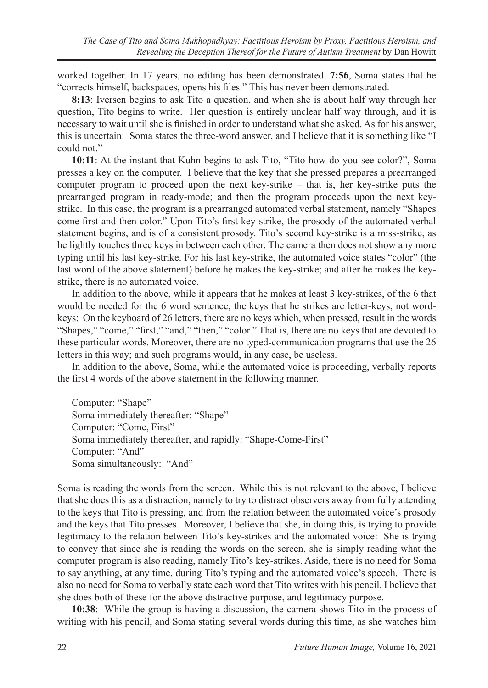worked together. In 17 years, no editing has been demonstrated. **7:56**, Soma states that he "corrects himself, backspaces, opens his files." This has never been demonstrated.

**8:13**: Iversen begins to ask Tito a question, and when she is about half way through her question, Tito begins to write. Her question is entirely unclear half way through, and it is necessary to wait until she is finished in order to understand what she asked. As for his answer, this is uncertain: Soma states the three-word answer, and I believe that it is something like "I could not."

**10:11**: At the instant that Kuhn begins to ask Tito, "Tito how do you see color?", Soma presses a key on the computer. I believe that the key that she pressed prepares a prearranged computer program to proceed upon the next key-strike – that is, her key-strike puts the prearranged program in ready-mode; and then the program proceeds upon the next keystrike. In this case, the program is a prearranged automated verbal statement, namely "Shapes come first and then color." Upon Tito's first key-strike, the prosody of the automated verbal statement begins, and is of a consistent prosody. Tito's second key-strike is a miss-strike, as he lightly touches three keys in between each other. The camera then does not show any more typing until his last key-strike. For his last key-strike, the automated voice states "color" (the last word of the above statement) before he makes the key-strike; and after he makes the keystrike, there is no automated voice.

In addition to the above, while it appears that he makes at least 3 key-strikes, of the 6 that would be needed for the 6 word sentence, the keys that he strikes are letter-keys, not wordkeys: On the keyboard of 26 letters, there are no keys which, when pressed, result in the words "Shapes," "come," "first," "and," "then," "color." That is, there are no keys that are devoted to these particular words. Moreover, there are no typed-communication programs that use the 26 letters in this way; and such programs would, in any case, be useless.

In addition to the above, Soma, while the automated voice is proceeding, verbally reports the first 4 words of the above statement in the following manner.

Computer: "Shape" Soma immediately thereafter: "Shape" Computer: "Come, First" Soma immediately thereafter, and rapidly: "Shape-Come-First" Computer: "And" Soma simultaneously: "And"

Soma is reading the words from the screen. While this is not relevant to the above, I believe that she does this as a distraction, namely to try to distract observers away from fully attending to the keys that Tito is pressing, and from the relation between the automated voice's prosody and the keys that Tito presses. Moreover, I believe that she, in doing this, is trying to provide legitimacy to the relation between Tito's key-strikes and the automated voice: She is trying to convey that since she is reading the words on the screen, she is simply reading what the computer program is also reading, namely Tito's key-strikes. Aside, there is no need for Soma to say anything, at any time, during Tito's typing and the automated voice's speech. There is also no need for Soma to verbally state each word that Tito writes with his pencil. I believe that she does both of these for the above distractive purpose, and legitimacy purpose.

**10:38**: While the group is having a discussion, the camera shows Tito in the process of writing with his pencil, and Soma stating several words during this time, as she watches him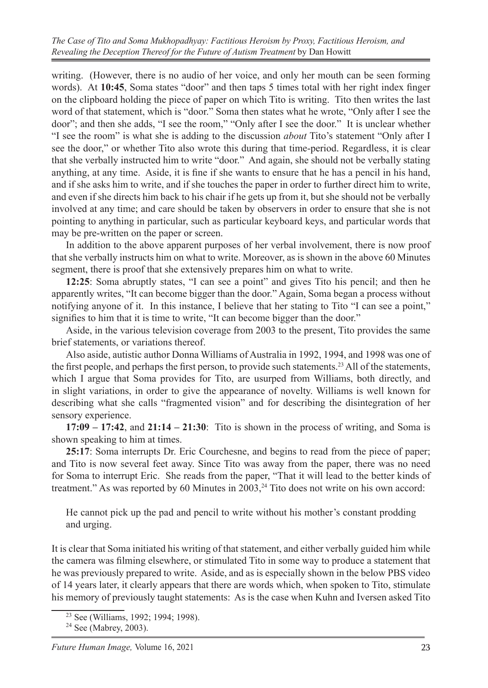writing. (However, there is no audio of her voice, and only her mouth can be seen forming words). At **10:45**, Soma states "door" and then taps 5 times total with her right index finger on the clipboard holding the piece of paper on which Tito is writing. Tito then writes the last word of that statement, which is "door." Soma then states what he wrote, "Only after I see the door"; and then she adds, "I see the room," "Only after I see the door." It is unclear whether "I see the room" is what she is adding to the discussion *about* Tito's statement "Only after I see the door," or whether Tito also wrote this during that time-period. Regardless, it is clear that she verbally instructed him to write "door." And again, she should not be verbally stating anything, at any time. Aside, it is fine if she wants to ensure that he has a pencil in his hand, and if she asks him to write, and if she touches the paper in order to further direct him to write, and even if she directs him back to his chair if he gets up from it, but she should not be verbally involved at any time; and care should be taken by observers in order to ensure that she is not pointing to anything in particular, such as particular keyboard keys, and particular words that may be pre-written on the paper or screen.

In addition to the above apparent purposes of her verbal involvement, there is now proof that she verbally instructs him on what to write. Moreover, as is shown in the above 60 Minutes segment, there is proof that she extensively prepares him on what to write.

**12:25**: Soma abruptly states, "I can see a point" and gives Tito his pencil; and then he apparently writes, "It can become bigger than the door." Again, Soma began a process without notifying anyone of it. In this instance, I believe that her stating to Tito "I can see a point," signifies to him that it is time to write, "It can become bigger than the door."

Aside, in the various television coverage from 2003 to the present, Tito provides the same brief statements, or variations thereof.

Also aside, autistic author Donna Williams of Australia in 1992, 1994, and 1998 was one of the first people, and perhaps the first person, to provide such statements.<sup>23</sup> All of the statements, which I argue that Soma provides for Tito, are usurped from Williams, both directly, and in slight variations, in order to give the appearance of novelty. Williams is well known for describing what she calls "fragmented vision" and for describing the disintegration of her sensory experience.

**17:09 – 17:42**, and **21:14 – 21:30**: Tito is shown in the process of writing, and Soma is shown speaking to him at times.

**25:17**: Soma interrupts Dr. Eric Courchesne, and begins to read from the piece of paper; and Tito is now several feet away. Since Tito was away from the paper, there was no need for Soma to interrupt Eric. She reads from the paper, "That it will lead to the better kinds of treatment." As was reported by 60 Minutes in  $2003$ ,<sup>24</sup> Tito does not write on his own accord:

He cannot pick up the pad and pencil to write without his mother's constant prodding and urging.

It is clear that Soma initiated his writing of that statement, and either verbally guided him while the camera was filming elsewhere, or stimulated Tito in some way to produce a statement that he was previously prepared to write. Aside, and as is especially shown in the below PBS video of 14 years later, it clearly appears that there are words which, when spoken to Tito, stimulate his memory of previously taught statements: As is the case when Kuhn and Iversen asked Tito

<sup>&</sup>lt;sup>23</sup> See (Williams, 1992; 1994; 1998).

 $24$  See (Mabrey, 2003).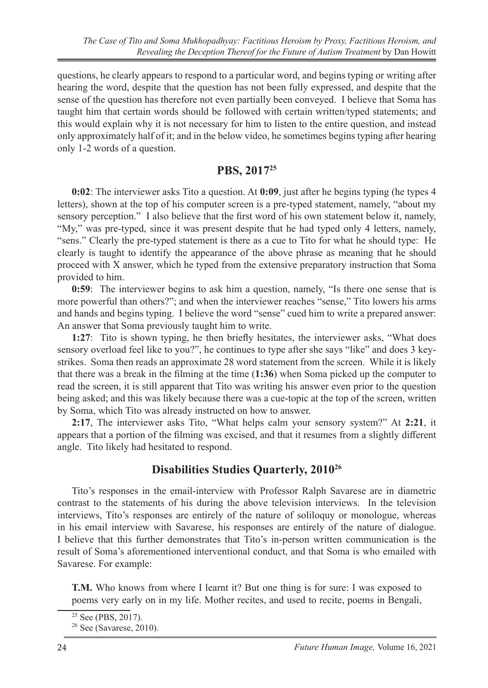questions, he clearly appears to respond to a particular word, and begins typing or writing after hearing the word, despite that the question has not been fully expressed, and despite that the sense of the question has therefore not even partially been conveyed. I believe that Soma has taught him that certain words should be followed with certain written/typed statements; and this would explain why it is not necessary for him to listen to the entire question, and instead only approximately half of it; and in the below video, he sometimes begins typing after hearing only 1-2 words of a question.

### **PBS, 201725**

**0:02**: The interviewer asks Tito a question. At **0:09**, just after he begins typing (he types 4 letters), shown at the top of his computer screen is a pre-typed statement, namely, "about my sensory perception." I also believe that the first word of his own statement below it, namely, "My," was pre-typed, since it was present despite that he had typed only 4 letters, namely, "sens." Clearly the pre-typed statement is there as a cue to Tito for what he should type: He clearly is taught to identify the appearance of the above phrase as meaning that he should proceed with X answer, which he typed from the extensive preparatory instruction that Soma provided to him.

**0:59**: The interviewer begins to ask him a question, namely, "Is there one sense that is more powerful than others?"; and when the interviewer reaches "sense," Tito lowers his arms and hands and begins typing. I believe the word "sense" cued him to write a prepared answer: An answer that Soma previously taught him to write.

**1:27**: Tito is shown typing, he then briefly hesitates, the interviewer asks, "What does sensory overload feel like to you?", he continues to type after she says "like" and does 3 keystrikes. Soma then reads an approximate 28 word statement from the screen. While it is likely that there was a break in the filming at the time (**1:36**) when Soma picked up the computer to read the screen, it is still apparent that Tito was writing his answer even prior to the question being asked; and this was likely because there was a cue-topic at the top of the screen, written by Soma, which Tito was already instructed on how to answer.

**2:17**, The interviewer asks Tito, "What helps calm your sensory system?" At **2:21**, it appears that a portion of the filming was excised, and that it resumes from a slightly different angle. Tito likely had hesitated to respond.

## **Disabilities Studies Quarterly, 201026**

Tito's responses in the email-interview with Professor Ralph Savarese are in diametric contrast to the statements of his during the above television interviews. In the television interviews, Tito's responses are entirely of the nature of soliloquy or monologue, whereas in his email interview with Savarese, his responses are entirely of the nature of dialogue. I believe that this further demonstrates that Tito's in-person written communication is the result of Soma's aforementioned interventional conduct, and that Soma is who emailed with Savarese. For example:

**T.M.** Who knows from where I learnt it? But one thing is for sure: I was exposed to poems very early on in my life. Mother recites, and used to recite, poems in Bengali,

 $25$  See (PBS, 2017).

 $26$  See (Savarese, 2010).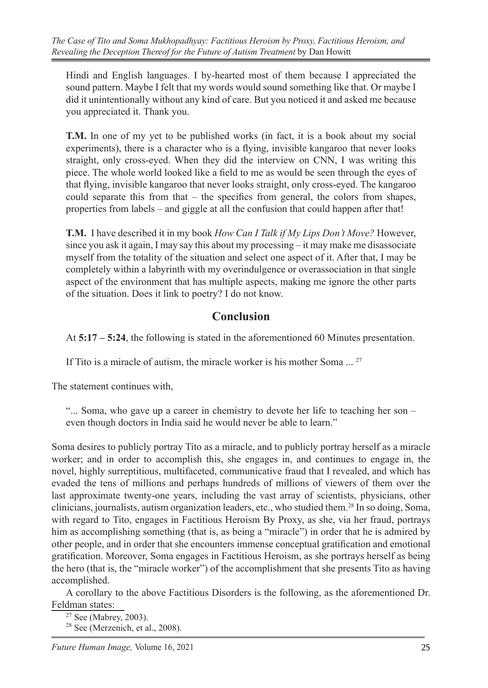Hindi and English languages. I by-hearted most of them because I appreciated the sound pattern. Maybe I felt that my words would sound something like that. Or maybe I did it unintentionally without any kind of care. But you noticed it and asked me because you appreciated it. Thank you.

**T.M.** In one of my yet to be published works (in fact, it is a book about my social experiments), there is a character who is a flying, invisible kangaroo that never looks straight, only cross-eyed. When they did the interview on CNN, I was writing this piece. The whole world looked like a field to me as would be seen through the eyes of that flying, invisible kangaroo that never looks straight, only cross-eyed. The kangaroo could separate this from that  $-$  the specifics from general, the colors from shapes, properties from labels – and giggle at all the confusion that could happen after that!

**T.M.** I have described it in my book *How Can I Talk if My Lips Don't Move?* However, since you ask it again, I may say this about my processing – it may make me disassociate myself from the totality of the situation and select one aspect of it. After that, I may be completely within a labyrinth with my overindulgence or overassociation in that single aspect of the environment that has multiple aspects, making me ignore the other parts of the situation. Does it link to poetry? I do not know.

## **Conclusion**

At **5:17 – 5:24**, the following is stated in the aforementioned 60 Minutes presentation.

If Tito is a miracle of autism, the miracle worker is his mother Soma ...<sup>27</sup>

The statement continues with,

"... Soma, who gave up a career in chemistry to devote her life to teaching her son – even though doctors in India said he would never be able to learn."

Soma desires to publicly portray Tito as a miracle, and to publicly portray herself as a miracle worker; and in order to accomplish this, she engages in, and continues to engage in, the novel, highly surreptitious, multifaceted, communicative fraud that I revealed, and which has evaded the tens of millions and perhaps hundreds of millions of viewers of them over the last approximate twenty-one years, including the vast array of scientists, physicians, other clinicians, journalists, autism organization leaders, etc., who studied them.<sup>28</sup> In so doing, Soma, with regard to Tito, engages in Factitious Heroism By Proxy, as she, via her fraud, portrays him as accomplishing something (that is, as being a "miracle") in order that he is admired by other people, and in order that she encounters immense conceptual gratification and emotional gratification. Moreover, Soma engages in Factitious Heroism, as she portrays herself as being the hero (that is, the "miracle worker") of the accomplishment that she presents Tito as having accomplished.

A corollary to the above Factitious Disorders is the following, as the aforementioned Dr. Feldman states:

<sup>27</sup> See (Mabrey, 2003).

 $28$  See (Merzenich, et al., 2008).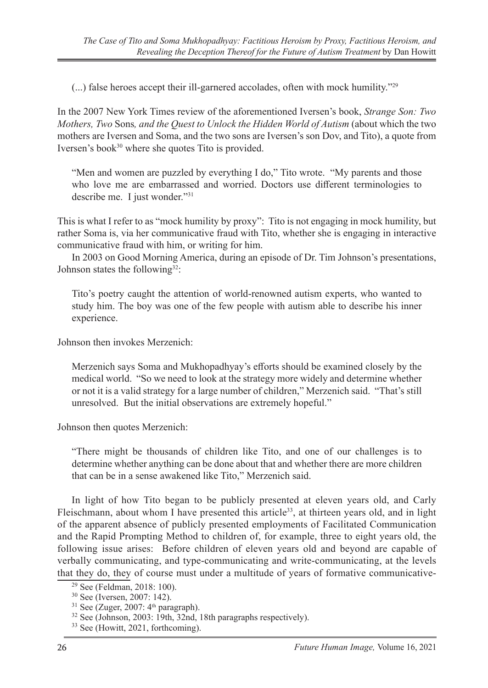(...) false heroes accept their ill-garnered accolades, often with mock humility."29

In the 2007 New York Times review of the aforementioned Iversen's book, *Strange Son: Two Mothers, Two* Sons*, and the Quest to Unlock the Hidden World of Autism* (about which the two mothers are Iversen and Soma, and the two sons are Iversen's son Dov, and Tito), a quote from Iversen's book<sup>30</sup> where she quotes Tito is provided.

"Men and women are puzzled by everything I do," Tito wrote. "My parents and those who love me are embarrassed and worried. Doctors use different terminologies to describe me. I just wonder."31

This is what I refer to as "mock humility by proxy": Tito is not engaging in mock humility, but rather Soma is, via her communicative fraud with Tito, whether she is engaging in interactive communicative fraud with him, or writing for him.

In 2003 on Good Morning America, during an episode of Dr. Tim Johnson's presentations, Johnson states the following<sup>32</sup>:

Tito's poetry caught the attention of world-renowned autism experts, who wanted to study him. The boy was one of the few people with autism able to describe his inner experience.

Johnson then invokes Merzenich:

Merzenich says Soma and Mukhopadhyay's efforts should be examined closely by the medical world. "So we need to look at the strategy more widely and determine whether or not it is a valid strategy for a large number of children," Merzenich said. "That's still unresolved. But the initial observations are extremely hopeful."

Johnson then quotes Merzenich:

"There might be thousands of children like Tito, and one of our challenges is to determine whether anything can be done about that and whether there are more children that can be in a sense awakened like Tito," Merzenich said.

In light of how Tito began to be publicly presented at eleven years old, and Carly Fleischmann, about whom I have presented this article<sup>33</sup>, at thirteen years old, and in light of the apparent absence of publicly presented employments of Facilitated Communication and the Rapid Prompting Method to children of, for example, three to eight years old, the following issue arises: Before children of eleven years old and beyond are capable of verbally communicating, and type-communicating and write-communicating, at the levels that they do, they of course must under a multitude of years of formative communicative-

<sup>29</sup> See (Feldman, 2018: 100).

<sup>30</sup> See (Iversen, 2007: 142).

 $31$  See (Zuger, 2007:  $4<sup>th</sup>$  paragraph).

<sup>32</sup> See (Johnson, 2003: 19th, 32nd, 18th paragraphs respectively).

<sup>&</sup>lt;sup>33</sup> See (Howitt, 2021, forthcoming).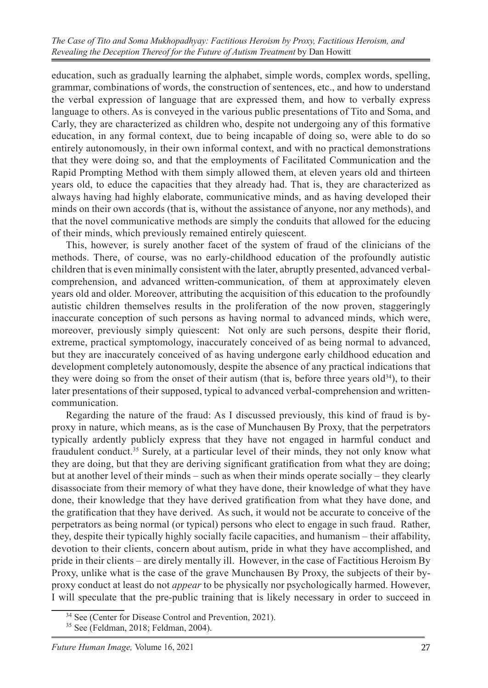education, such as gradually learning the alphabet, simple words, complex words, spelling, grammar, combinations of words, the construction of sentences, etc., and how to understand the verbal expression of language that are expressed them, and how to verbally express language to others. As is conveyed in the various public presentations of Tito and Soma, and Carly, they are characterized as children who, despite not undergoing any of this formative education, in any formal context, due to being incapable of doing so, were able to do so entirely autonomously, in their own informal context, and with no practical demonstrations that they were doing so, and that the employments of Facilitated Communication and the Rapid Prompting Method with them simply allowed them, at eleven years old and thirteen years old, to educe the capacities that they already had. That is, they are characterized as always having had highly elaborate, communicative minds, and as having developed their minds on their own accords (that is, without the assistance of anyone, nor any methods), and that the novel communicative methods are simply the conduits that allowed for the educing of their minds, which previously remained entirely quiescent.

This, however, is surely another facet of the system of fraud of the clinicians of the methods. There, of course, was no early-childhood education of the profoundly autistic children that is even minimally consistent with the later, abruptly presented, advanced verbalcomprehension, and advanced written-communication, of them at approximately eleven years old and older. Moreover, attributing the acquisition of this education to the profoundly autistic children themselves results in the proliferation of the now proven, staggeringly inaccurate conception of such persons as having normal to advanced minds, which were, moreover, previously simply quiescent: Not only are such persons, despite their florid, extreme, practical symptomology, inaccurately conceived of as being normal to advanced, but they are inaccurately conceived of as having undergone early childhood education and development completely autonomously, despite the absence of any practical indications that they were doing so from the onset of their autism (that is, before three years old<sup>34</sup>), to their later presentations of their supposed, typical to advanced verbal-comprehension and writtencommunication.

Regarding the nature of the fraud: As I discussed previously, this kind of fraud is byproxy in nature, which means, as is the case of Munchausen By Proxy, that the perpetrators typically ardently publicly express that they have not engaged in harmful conduct and fraudulent conduct.35 Surely, at a particular level of their minds, they not only know what they are doing, but that they are deriving significant gratification from what they are doing; but at another level of their minds – such as when their minds operate socially – they clearly disassociate from their memory of what they have done, their knowledge of what they have done, their knowledge that they have derived gratification from what they have done, and the gratification that they have derived. As such, it would not be accurate to conceive of the perpetrators as being normal (or typical) persons who elect to engage in such fraud. Rather, they, despite their typically highly socially facile capacities, and humanism – their affability, devotion to their clients, concern about autism, pride in what they have accomplished, and pride in their clients – are direly mentally ill. However, in the case of Factitious Heroism By Proxy, unlike what is the case of the grave Munchausen By Proxy, the subjects of their byproxy conduct at least do not *appear* to be physically nor psychologically harmed. However, I will speculate that the pre-public training that is likely necessary in order to succeed in

<sup>34</sup> See (Center for Disease Control and Prevention, 2021).

<sup>35</sup> See (Feldman, 2018; Feldman, 2004).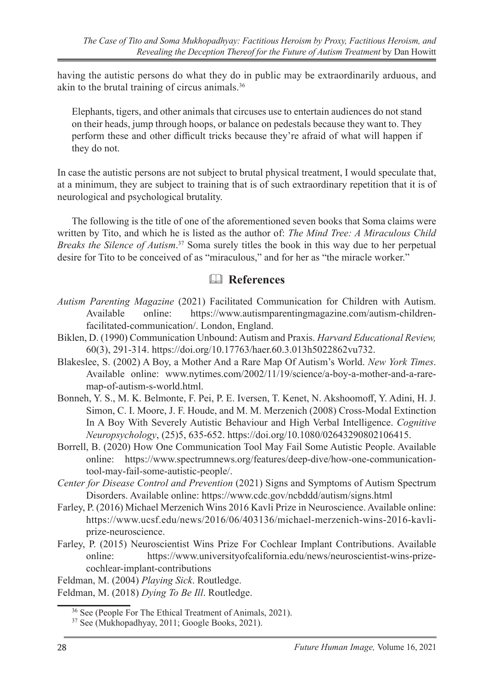having the autistic persons do what they do in public may be extraordinarily arduous, and akin to the brutal training of circus animals.36

Elephants, tigers, and other animals that circuses use to entertain audiences do not stand on their heads, jump through hoops, or balance on pedestals because they want to. They perform these and other difficult tricks because they're afraid of what will happen if they do not.

In case the autistic persons are not subject to brutal physical treatment, I would speculate that, at a minimum, they are subject to training that is of such extraordinary repetition that it is of neurological and psychological brutality.

The following is the title of one of the aforementioned seven books that Soma claims were written by Tito, and which he is listed as the author of: *The Mind Tree: A Miraculous Child Breaks the Silence of Autism*. 37 Soma surely titles the book in this way due to her perpetual desire for Tito to be conceived of as "miraculous," and for her as "the miracle worker."

## & **References**

- *Autism Parenting Magazine* (2021) Facilitated Communication for Children with Autism. Available online: https://www.autismparentingmagazine.com/autism-childrenfacilitated-communication/. London, England.
- Biklen, D. (1990) Communication Unbound: Autism and Praxis. *Harvard Educational Review,* 60(3), 291-314. https://doi.org/10.17763/haer.60.3.013h5022862vu732.
- Blakeslee, S. (2002) A Boy, a Mother And a Rare Map Of Autism's World. *New York Times*. Available online: www.nytimes.com/2002/11/19/science/a-boy-a-mother-and-a-raremap-of-autism-s-world.html.
- Bonneh, Y. S., M. K. Belmonte, F. Pei, P. E. Iversen, T. Kenet, N. Akshoomoff, Y. Adini, H. J. Simon, C. I. Moore, J. F. Houde, and M. M. Merzenich (2008) Cross-Modal Extinction In A Boy With Severely Autistic Behaviour and High Verbal Intelligence. *Cognitive Neuropsychology*, (25)5, 635-652. https://doi.org/10.1080/02643290802106415.
- Borrell, B. (2020) How One Communication Tool May Fail Some Autistic People. Available online: https://www.spectrumnews.org/features/deep-dive/how-one-communicationtool-may-fail-some-autistic-people/.
- *Center for Disease Control and Prevention* (2021) Signs and Symptoms of Autism Spectrum Disorders. Available online: https://www.cdc.gov/ncbddd/autism/signs.html
- Farley, P. (2016) Michael Merzenich Wins 2016 Kavli Prize in Neuroscience. Available online: https://www.ucsf.edu/news/2016/06/403136/michael-merzenich-wins-2016-kavliprize-neuroscience.
- Farley, P. (2015) Neuroscientist Wins Prize For Cochlear Implant Contributions. Available online: https://www.universityofcalifornia.edu/news/neuroscientist-wins-prizecochlear-implant-contributions

Feldman, M. (2004) *Playing Sick*. Routledge.

Feldman, M. (2018) *Dying To Be Ill*. Routledge.

<sup>36</sup> See (People For The Ethical Treatment of Animals, 2021).

<sup>37</sup> See (Mukhopadhyay, 2011; Google Books, 2021).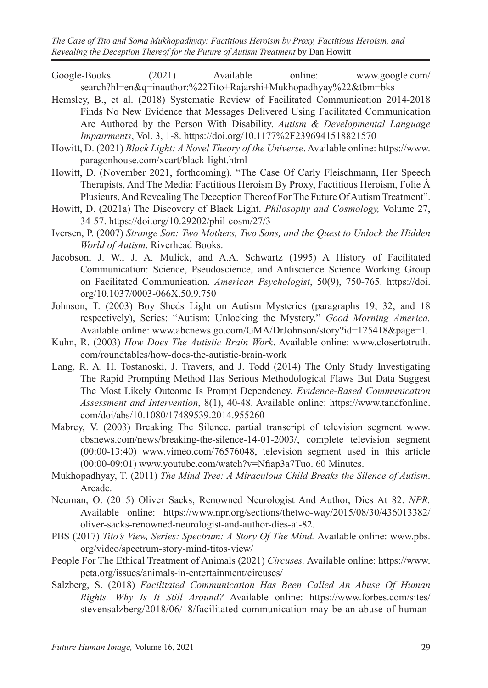- Google-Books (2021) Available online: www.google.com/ search?hl=en&q=inauthor:%22Tito+Rajarshi+Mukhopadhyay%22&tbm=bks
- Hemsley, B., et al. (2018) Systematic Review of Facilitated Communication 2014-2018 Finds No New Evidence that Messages Delivered Using Facilitated Communication Are Authored by the Person With Disability. *Autism & Developmental Language Impairments*, Vol. 3, 1-8. https://doi.org/10.1177%2F2396941518821570
- Howitt, D. (2021) *Black Light: A Novel Theory of the Universe*. Available online: https://www. paragonhouse.com/xcart/black-light.html
- Howitt, D. (November 2021, forthcoming). "The Case Of Carly Fleischmann, Her Speech Therapists, And The Media: Factitious Heroism By Proxy, Factitious Heroism, Folie  $\dot{A}$ Plusieurs, And Revealing The Deception Thereof For The Future Of Autism Treatment".
- Howitt, D. (2021a) The Discovery of Black Light. *Philosophy and Cosmology,* Volume 27, 34-57. https://doi.org/10.29202/phil-cosm/27/3
- Iversen, P. (2007) *Strange Son: Two Mothers, Two Sons, and the Quest to Unlock the Hidden World of Autism*. Riverhead Books.
- Jacobson, J. W., J. A. Mulick, and A.A. Schwartz (1995) A History of Facilitated Communication: Science, Pseudoscience, and Antiscience Science Working Group on Facilitated Communication. *American Psychologist*, 50(9), 750-765. https://doi. org/10.1037/0003-066X.50.9.750
- Johnson, T. (2003) Boy Sheds Light on Autism Mysteries (paragraphs 19, 32, and 18 respectively), Series: "Autism: Unlocking the Mystery." *Good Morning America.*  Available online: www.abcnews.go.com/GMA/DrJohnson/story?id=125418&page=1.
- Kuhn, R. (2003) *How Does The Autistic Brain Work*. Available online: www.closertotruth. com/roundtables/how-does-the-autistic-brain-work
- Lang, R. A. H. Tostanoski, J. Travers, and J. Todd (2014) The Only Study Investigating The Rapid Prompting Method Has Serious Methodological Flaws But Data Suggest The Most Likely Outcome Is Prompt Dependency. *Evidence-Based Communication Assessment and Intervention*, 8(1), 40-48. Available online: https://www.tandfonline. com/doi/abs/10.1080/17489539.2014.955260
- Mabrey, V. (2003) Breaking The Silence. partial transcript of television segment www. cbsnews.com/news/breaking-the-silence-14-01-2003/, complete television segment (00:00-13:40) www.vimeo.com/76576048, television segment used in this article (00:00-09:01) www.youtube.com/watch?v=Nfiap3a7Tuo. 60 Minutes.
- Mukhopadhyay, T. (2011) *The Mind Tree: A Miraculous Child Breaks the Silence of Autism*. Arcade.
- Neuman, O. (2015) Oliver Sacks, Renowned Neurologist And Author, Dies At 82. *NPR.*  Available online: https://www.npr.org/sections/thetwo-way/2015/08/30/436013382/ oliver-sacks-renowned-neurologist-and-author-dies-at-82.
- PBS (2017) *Tito's View, Series: Spectrum: A Story Of The Mind.* Available online: www.pbs. org/video/spectrum-story-mind-titos-view/
- People For The Ethical Treatment of Animals (2021) *Circuses.* Available online: https://www. peta.org/issues/animals-in-entertainment/circuses/
- Salzberg, S. (2018) *Facilitated Communication Has Been Called An Abuse Of Human Rights. Why Is It Still Around?* Available online: https://www.forbes.com/sites/ stevensalzberg/2018/06/18/facilitated-communication-may-be-an-abuse-of-human-